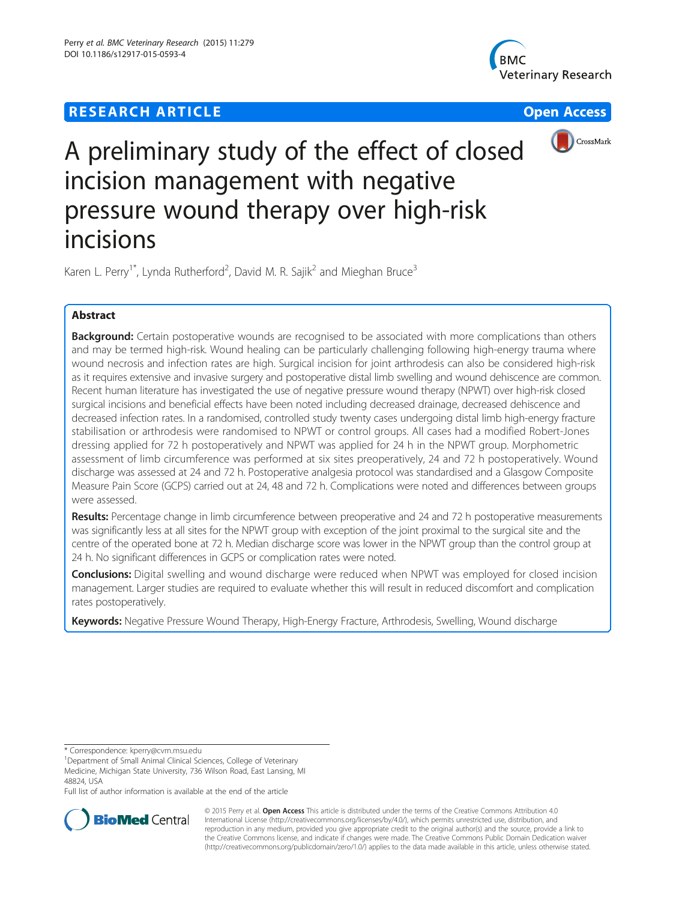# **RESEARCH ARTICLE Example 2008 12 Open Access**







# A preliminary study of the effect of closed incision management with negative pressure wound therapy over high-risk incisions

Karen L. Perry<sup>1\*</sup>, Lynda Rutherford<sup>2</sup>, David M. R. Sajik<sup>2</sup> and Mieghan Bruce<sup>3</sup>

# Abstract

Background: Certain postoperative wounds are recognised to be associated with more complications than others and may be termed high-risk. Wound healing can be particularly challenging following high-energy trauma where wound necrosis and infection rates are high. Surgical incision for joint arthrodesis can also be considered high-risk as it requires extensive and invasive surgery and postoperative distal limb swelling and wound dehiscence are common. Recent human literature has investigated the use of negative pressure wound therapy (NPWT) over high-risk closed surgical incisions and beneficial effects have been noted including decreased drainage, decreased dehiscence and decreased infection rates. In a randomised, controlled study twenty cases undergoing distal limb high-energy fracture stabilisation or arthrodesis were randomised to NPWT or control groups. All cases had a modified Robert-Jones dressing applied for 72 h postoperatively and NPWT was applied for 24 h in the NPWT group. Morphometric assessment of limb circumference was performed at six sites preoperatively, 24 and 72 h postoperatively. Wound discharge was assessed at 24 and 72 h. Postoperative analgesia protocol was standardised and a Glasgow Composite Measure Pain Score (GCPS) carried out at 24, 48 and 72 h. Complications were noted and differences between groups were assessed.

Results: Percentage change in limb circumference between preoperative and 24 and 72 h postoperative measurements was significantly less at all sites for the NPWT group with exception of the joint proximal to the surgical site and the centre of the operated bone at 72 h. Median discharge score was lower in the NPWT group than the control group at 24 h. No significant differences in GCPS or complication rates were noted.

**Conclusions:** Digital swelling and wound discharge were reduced when NPWT was employed for closed incision management. Larger studies are required to evaluate whether this will result in reduced discomfort and complication rates postoperatively.

Keywords: Negative Pressure Wound Therapy, High-Energy Fracture, Arthrodesis, Swelling, Wound discharge

\* Correspondence: [kperry@cvm.msu.edu](mailto:kperry@cvm.msu.edu) <sup>1</sup>

Department of Small Animal Clinical Sciences, College of Veterinary Medicine, Michigan State University, 736 Wilson Road, East Lansing, MI 48824, USA

Full list of author information is available at the end of the article



© 2015 Perry et al. Open Access This article is distributed under the terms of the Creative Commons Attribution 4.0 International License [\(http://creativecommons.org/licenses/by/4.0/](http://creativecommons.org/licenses/by/4.0/)), which permits unrestricted use, distribution, and reproduction in any medium, provided you give appropriate credit to the original author(s) and the source, provide a link to the Creative Commons license, and indicate if changes were made. The Creative Commons Public Domain Dedication waiver [\(http://creativecommons.org/publicdomain/zero/1.0/](http://creativecommons.org/publicdomain/zero/1.0/)) applies to the data made available in this article, unless otherwise stated.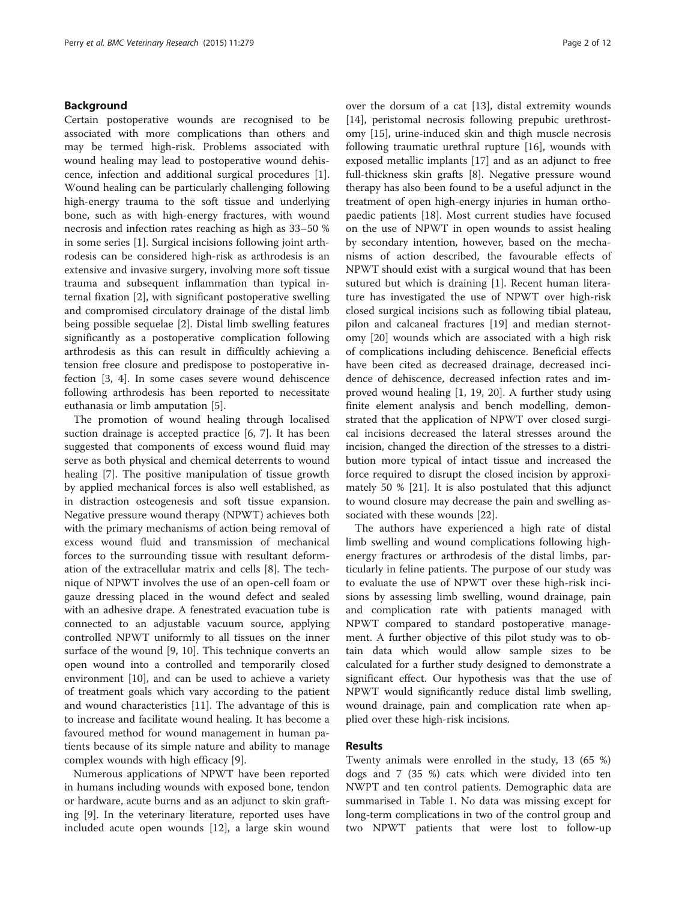#### Background

Certain postoperative wounds are recognised to be associated with more complications than others and may be termed high-risk. Problems associated with wound healing may lead to postoperative wound dehiscence, infection and additional surgical procedures [\[1](#page-10-0)]. Wound healing can be particularly challenging following high-energy trauma to the soft tissue and underlying bone, such as with high-energy fractures, with wound necrosis and infection rates reaching as high as 33–50 % in some series [[1\]](#page-10-0). Surgical incisions following joint arthrodesis can be considered high-risk as arthrodesis is an extensive and invasive surgery, involving more soft tissue trauma and subsequent inflammation than typical internal fixation [[2\]](#page-10-0), with significant postoperative swelling and compromised circulatory drainage of the distal limb being possible sequelae [\[2](#page-10-0)]. Distal limb swelling features significantly as a postoperative complication following arthrodesis as this can result in difficultly achieving a tension free closure and predispose to postoperative infection [\[3](#page-10-0), [4](#page-10-0)]. In some cases severe wound dehiscence following arthrodesis has been reported to necessitate euthanasia or limb amputation [\[5\]](#page-10-0).

The promotion of wound healing through localised suction drainage is accepted practice [\[6](#page-10-0), [7](#page-10-0)]. It has been suggested that components of excess wound fluid may serve as both physical and chemical deterrents to wound healing [\[7](#page-10-0)]. The positive manipulation of tissue growth by applied mechanical forces is also well established, as in distraction osteogenesis and soft tissue expansion. Negative pressure wound therapy (NPWT) achieves both with the primary mechanisms of action being removal of excess wound fluid and transmission of mechanical forces to the surrounding tissue with resultant deformation of the extracellular matrix and cells [\[8\]](#page-10-0). The technique of NPWT involves the use of an open-cell foam or gauze dressing placed in the wound defect and sealed with an adhesive drape. A fenestrated evacuation tube is connected to an adjustable vacuum source, applying controlled NPWT uniformly to all tissues on the inner surface of the wound [[9, 10\]](#page-10-0). This technique converts an open wound into a controlled and temporarily closed environment [\[10\]](#page-10-0), and can be used to achieve a variety of treatment goals which vary according to the patient and wound characteristics [[11](#page-10-0)]. The advantage of this is to increase and facilitate wound healing. It has become a favoured method for wound management in human patients because of its simple nature and ability to manage complex wounds with high efficacy [[9\]](#page-10-0).

Numerous applications of NPWT have been reported in humans including wounds with exposed bone, tendon or hardware, acute burns and as an adjunct to skin grafting [[9\]](#page-10-0). In the veterinary literature, reported uses have included acute open wounds [[12](#page-10-0)], a large skin wound

over the dorsum of a cat [[13\]](#page-10-0), distal extremity wounds [[14\]](#page-10-0), peristomal necrosis following prepubic urethrostomy [\[15](#page-10-0)], urine-induced skin and thigh muscle necrosis following traumatic urethral rupture [\[16](#page-10-0)], wounds with exposed metallic implants [\[17](#page-10-0)] and as an adjunct to free full-thickness skin grafts [\[8](#page-10-0)]. Negative pressure wound therapy has also been found to be a useful adjunct in the treatment of open high-energy injuries in human orthopaedic patients [\[18](#page-10-0)]. Most current studies have focused on the use of NPWT in open wounds to assist healing by secondary intention, however, based on the mechanisms of action described, the favourable effects of NPWT should exist with a surgical wound that has been sutured but which is draining [\[1\]](#page-10-0). Recent human literature has investigated the use of NPWT over high-risk closed surgical incisions such as following tibial plateau, pilon and calcaneal fractures [[19](#page-10-0)] and median sternotomy [\[20](#page-10-0)] wounds which are associated with a high risk of complications including dehiscence. Beneficial effects have been cited as decreased drainage, decreased incidence of dehiscence, decreased infection rates and improved wound healing [[1, 19](#page-10-0), [20\]](#page-10-0). A further study using finite element analysis and bench modelling, demonstrated that the application of NPWT over closed surgical incisions decreased the lateral stresses around the incision, changed the direction of the stresses to a distribution more typical of intact tissue and increased the force required to disrupt the closed incision by approximately 50 % [[21](#page-10-0)]. It is also postulated that this adjunct to wound closure may decrease the pain and swelling associated with these wounds [\[22](#page-10-0)].

The authors have experienced a high rate of distal limb swelling and wound complications following highenergy fractures or arthrodesis of the distal limbs, particularly in feline patients. The purpose of our study was to evaluate the use of NPWT over these high-risk incisions by assessing limb swelling, wound drainage, pain and complication rate with patients managed with NPWT compared to standard postoperative management. A further objective of this pilot study was to obtain data which would allow sample sizes to be calculated for a further study designed to demonstrate a significant effect. Our hypothesis was that the use of NPWT would significantly reduce distal limb swelling, wound drainage, pain and complication rate when applied over these high-risk incisions.

## Results

Twenty animals were enrolled in the study, 13 (65 %) dogs and 7 (35 %) cats which were divided into ten NWPT and ten control patients. Demographic data are summarised in Table [1](#page-2-0). No data was missing except for long-term complications in two of the control group and two NPWT patients that were lost to follow-up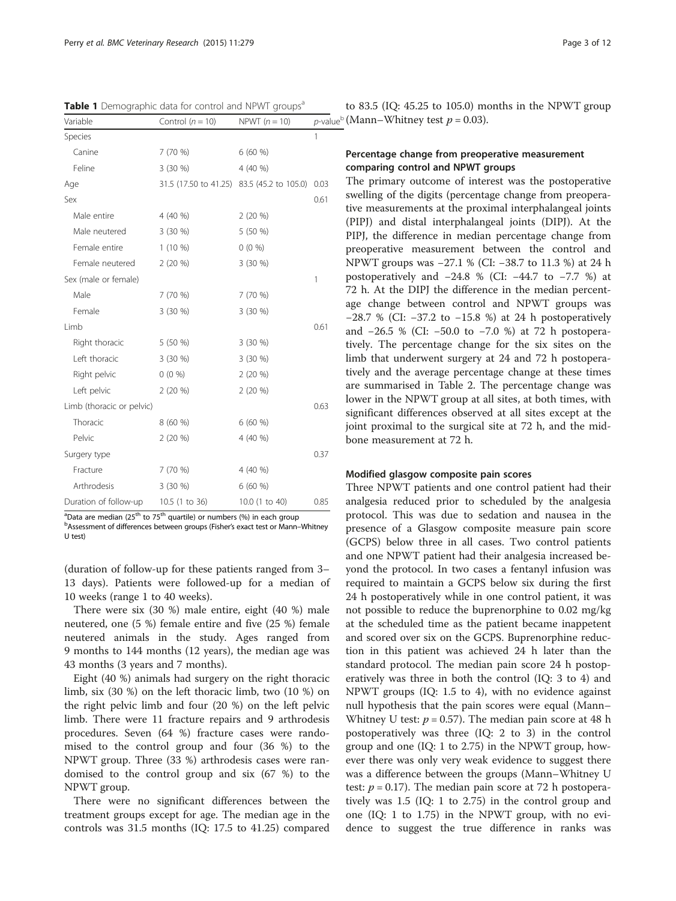<span id="page-2-0"></span>Table 1 Demographic data for control and NPWT groups<sup>a</sup>

| Variable                  | Control $(n = 10)$                         | NPWT $(n = 10)$ | p-val        |  |
|---------------------------|--------------------------------------------|-----------------|--------------|--|
| Species                   |                                            |                 | 1            |  |
| Canine                    | 7(70%                                      | 6(60%)          |              |  |
| Feline                    | 3 (30 %)                                   | 4 (40 %)        |              |  |
| Age                       | 31.5 (17.50 to 41.25) 83.5 (45.2 to 105.0) |                 | 0.03         |  |
| Sex                       |                                            |                 | 0.61         |  |
| Male entire               | 4 (40 %)                                   | $2(20\%)$       |              |  |
| Male neutered             | 3 (30 %)                                   | 5 (50 %)        |              |  |
| Female entire             | $1(10\%)$                                  | $0(0\%)$        |              |  |
| Female neutered           | $2(20\%)$                                  | 3 (30 %)        |              |  |
| Sex (male or female)      |                                            |                 | $\mathbf{1}$ |  |
| Male                      | 7 (70 %)                                   | 7 (70 %)        |              |  |
| Female                    | 3 (30 %)                                   | 3 (30 %)        |              |  |
| Limb                      |                                            |                 | 0.61         |  |
| Right thoracic            | 5 (50 %)                                   | $3(30\%)$       |              |  |
| Left thoracic             | 3 (30 %)                                   | 3 (30 %)        |              |  |
| Right pelvic              | $0(0\%)$                                   | $2(20\%)$       |              |  |
| Left pelvic               | $2(20\%)$                                  | $2(20\%)$       |              |  |
| Limb (thoracic or pelvic) |                                            |                 | 0.63         |  |
| Thoracic                  | 8(60%)                                     | 6(60%           |              |  |
| Pelvic                    | 2(20%                                      | 4 (40 %)        |              |  |
| Surgery type              |                                            |                 | 0.37         |  |
| Fracture                  | 7(70%                                      | 4 (40 %)        |              |  |
| Arthrodesis               | $3(30\%)$                                  | 6(60%)          |              |  |
| Duration of follow-up     | 10.5 (1 to 36)                             | 10.0 (1 to 40)  | 0.85         |  |

<sup>a</sup>Data are median (25<sup>th</sup> to 75<sup>th</sup> quartile) or numbers (%) in each group<br><sup>b</sup>Assessment of differences between groups (Fisher's exact test or Mann-

Assessment of differences between groups (Fisher's exact test or Mann–Whitney U test)

(duration of follow-up for these patients ranged from 3– 13 days). Patients were followed-up for a median of 10 weeks (range 1 to 40 weeks).

There were six (30 %) male entire, eight (40 %) male neutered, one (5 %) female entire and five (25 %) female neutered animals in the study. Ages ranged from 9 months to 144 months (12 years), the median age was 43 months (3 years and 7 months).

Eight (40 %) animals had surgery on the right thoracic limb, six (30 %) on the left thoracic limb, two (10 %) on the right pelvic limb and four (20 %) on the left pelvic limb. There were 11 fracture repairs and 9 arthrodesis procedures. Seven (64 %) fracture cases were randomised to the control group and four (36 %) to the NPWT group. Three (33 %) arthrodesis cases were randomised to the control group and six (67 %) to the NPWT group.

There were no significant differences between the treatment groups except for age. The median age in the controls was 31.5 months (IQ: 17.5 to 41.25) compared

to 83.5 (IQ: 45.25 to 105.0) months in the NPWT group  $p$ -value<sup>b</sup> (Mann–Whitney test  $p = 0.03$ ).

# Percentage change from preoperative measurement comparing control and NPWT groups

The primary outcome of interest was the postoperative swelling of the digits (percentage change from preoperative measurements at the proximal interphalangeal joints (PIPJ) and distal interphalangeal joints (DIPJ). At the PIPJ, the difference in median percentage change from preoperative measurement between the control and NPWT groups was −27.1 % (CI: −38.7 to 11.3 %) at 24 h postoperatively and  $-24.8$  % (CI:  $-44.7$  to  $-7.7$  %) at 72 h. At the DIPJ the difference in the median percentage change between control and NPWT groups was −28.7 % (CI: −37.2 to −15.8 %) at 24 h postoperatively and −26.5 % (CI: −50.0 to −7.0 %) at 72 h postoperatively. The percentage change for the six sites on the limb that underwent surgery at 24 and 72 h postoperatively and the average percentage change at these times are summarised in Table [2.](#page-3-0) The percentage change was lower in the NPWT group at all sites, at both times, with significant differences observed at all sites except at the joint proximal to the surgical site at 72 h, and the midbone measurement at 72 h.

## Modified glasgow composite pain scores

Three NPWT patients and one control patient had their analgesia reduced prior to scheduled by the analgesia protocol. This was due to sedation and nausea in the presence of a Glasgow composite measure pain score (GCPS) below three in all cases. Two control patients and one NPWT patient had their analgesia increased beyond the protocol. In two cases a fentanyl infusion was required to maintain a GCPS below six during the first 24 h postoperatively while in one control patient, it was not possible to reduce the buprenorphine to 0.02 mg/kg at the scheduled time as the patient became inappetent and scored over six on the GCPS. Buprenorphine reduction in this patient was achieved 24 h later than the standard protocol. The median pain score 24 h postoperatively was three in both the control (IQ: 3 to 4) and NPWT groups (IQ: 1.5 to 4), with no evidence against null hypothesis that the pain scores were equal (Mann– Whitney U test:  $p = 0.57$ ). The median pain score at 48 h postoperatively was three (IQ: 2 to 3) in the control group and one (IQ: 1 to 2.75) in the NPWT group, however there was only very weak evidence to suggest there was a difference between the groups (Mann–Whitney U test:  $p = 0.17$ ). The median pain score at 72 h postoperatively was 1.5 (IQ: 1 to 2.75) in the control group and one (IQ: 1 to 1.75) in the NPWT group, with no evidence to suggest the true difference in ranks was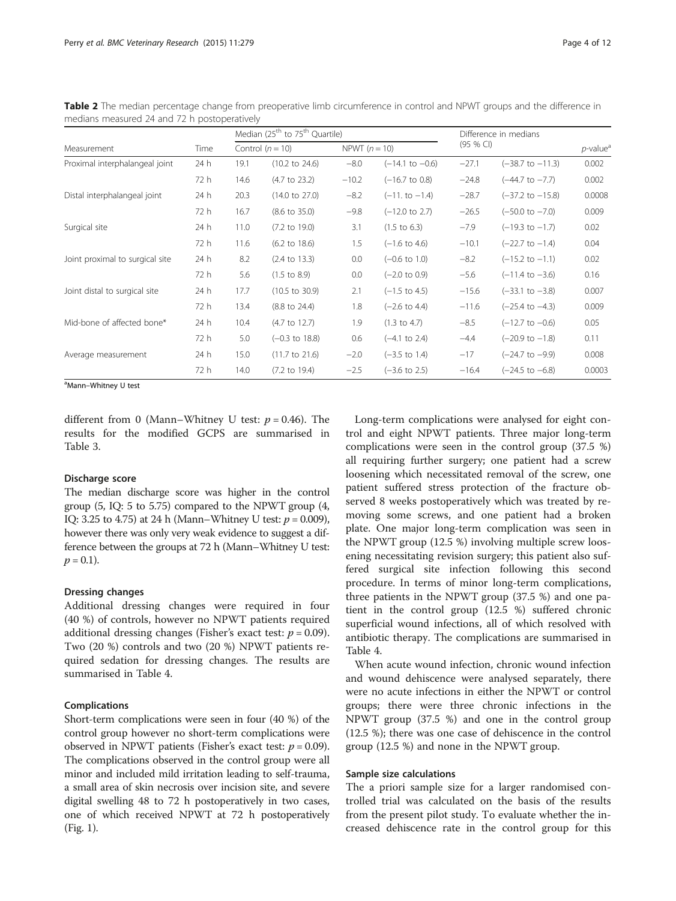|                                 | Time | Median (25 <sup>th</sup> to 75 <sup>th</sup> Quartile) |                           |                 |                            | Difference in medians |                             |                         |  |
|---------------------------------|------|--------------------------------------------------------|---------------------------|-----------------|----------------------------|-----------------------|-----------------------------|-------------------------|--|
| Measurement                     |      |                                                        | Control $(n = 10)$        | NPWT $(n = 10)$ |                            | (95 % C)              |                             | $p$ -value <sup>a</sup> |  |
| Proximal interphalangeal joint  | 24 h | 19.1                                                   | $(10.2 \text{ to } 24.6)$ | $-8.0$          | $(-14.1 \text{ to } -0.6)$ | $-27.1$               | $(-38.7 \text{ to } -11.3)$ | 0.002                   |  |
|                                 | 72 h | 14.6                                                   | $(4.7 \text{ to } 23.2)$  | $-10.2$         | $(-16.7 \text{ to } 0.8)$  | $-24.8$               | $(-44.7 \text{ to } -7.7)$  | 0.002                   |  |
| Distal interphalangeal joint    | 24 h | 20.3                                                   | $(14.0 \text{ to } 27.0)$ | $-8.2$          | $(-11. to -1.4)$           | $-28.7$               | $(-37.2 \text{ to } -15.8)$ | 0.0008                  |  |
|                                 | 72 h | 16.7                                                   | $(8.6 \text{ to } 35.0)$  | $-9.8$          | $(-12.0 \text{ to } 2.7)$  | $-26.5$               | $(-50.0 \text{ to } -7.0)$  | 0.009                   |  |
| Surgical site                   | 24 h | 11.0                                                   | $(7.2 \text{ to } 19.0)$  | 3.1             | $(1.5 \text{ to } 6.3)$    | $-7.9$                | $(-19.3 \text{ to } -1.7)$  | 0.02                    |  |
|                                 | 72 h | 11.6                                                   | $(6.2 \text{ to } 18.6)$  | 1.5             | $(-1.6 \text{ to } 4.6)$   | $-10.1$               | $(-22.7 \text{ to } -1.4)$  | 0.04                    |  |
| Joint proximal to surgical site | 24 h | 8.2                                                    | $(2.4 \text{ to } 13.3)$  | 0.0             | $(-0.6 \text{ to } 1.0)$   | $-8.2$                | $(-15.2$ to $-1.1)$         | 0.02                    |  |
|                                 | 72 h | 5.6                                                    | $(1.5 \text{ to } 8.9)$   | 0.0             | $(-2.0 \text{ to } 0.9)$   | $-5.6$                | $(-11.4 \text{ to } -3.6)$  | 0.16                    |  |
| Joint distal to surgical site   | 24 h | 17.7                                                   | $(10.5 \text{ to } 30.9)$ | 2.1             | $(-1.5 \text{ to } 4.5)$   | $-15.6$               | $(-33.1 \text{ to } -3.8)$  | 0.007                   |  |
|                                 | 72 h | 13.4                                                   | $(8.8 \text{ to } 24.4)$  | 1.8             | $(-2.6 \text{ to } 4.4)$   | $-11.6$               | $(-25.4 \text{ to } -4.3)$  | 0.009                   |  |
| Mid-bone of affected bone*      | 24 h | 10.4                                                   | $(4.7 \text{ to } 12.7)$  | 1.9             | $(1.3 \text{ to } 4.7)$    | $-8.5$                | $(-12.7 \text{ to } -0.6)$  | 0.05                    |  |
|                                 | 72 h | 5.0                                                    | $(-0.3 \text{ to } 18.8)$ | 0.6             | $(-4.1 \text{ to } 2.4)$   | $-4.4$                | $(-20.9 \text{ to } -1.8)$  | 0.11                    |  |
| Average measurement             | 24 h | 15.0                                                   | $(11.7 \text{ to } 21.6)$ | $-2.0$          | $(-3.5 \text{ to } 1.4)$   | $-17$                 | $(-24.7 \text{ to } -9.9)$  | 0.008                   |  |
|                                 | 72 h | 14.0                                                   | $(7.2 \text{ to } 19.4)$  | $-2.5$          | $(-3.6 \text{ to } 2.5)$   | $-16.4$               | $(-24.5 \text{ to } -6.8)$  | 0.0003                  |  |

<span id="page-3-0"></span>Table 2 The median percentage change from preoperative limb circumference in control and NPWT groups and the difference in medians measured 24 and 72 h postoperatively

<sup>a</sup>Mann–Whitney U test

different from 0 (Mann–Whitney U test:  $p = 0.46$ ). The results for the modified GCPS are summarised in Table [3.](#page-4-0)

#### Discharge score

The median discharge score was higher in the control group (5, IQ: 5 to 5.75) compared to the NPWT group (4, IQ: 3.25 to 4.75) at 24 h (Mann–Whitney U test:  $p = 0.009$ ), however there was only very weak evidence to suggest a difference between the groups at 72 h (Mann–Whitney U test:  $p = 0.1$ ).

# Dressing changes

Additional dressing changes were required in four (40 %) of controls, however no NPWT patients required additional dressing changes (Fisher's exact test:  $p = 0.09$ ). Two (20 %) controls and two (20 %) NPWT patients required sedation for dressing changes. The results are summarised in Table [4.](#page-4-0)

## Complications

Short-term complications were seen in four (40 %) of the control group however no short-term complications were observed in NPWT patients (Fisher's exact test:  $p = 0.09$ ). The complications observed in the control group were all minor and included mild irritation leading to self-trauma, a small area of skin necrosis over incision site, and severe digital swelling 48 to 72 h postoperatively in two cases, one of which received NPWT at 72 h postoperatively (Fig. [1](#page-5-0)).

Long-term complications were analysed for eight control and eight NPWT patients. Three major long-term complications were seen in the control group (37.5 %) all requiring further surgery; one patient had a screw loosening which necessitated removal of the screw, one patient suffered stress protection of the fracture observed 8 weeks postoperatively which was treated by removing some screws, and one patient had a broken plate. One major long-term complication was seen in the NPWT group (12.5 %) involving multiple screw loosening necessitating revision surgery; this patient also suffered surgical site infection following this second procedure. In terms of minor long-term complications, three patients in the NPWT group (37.5 %) and one patient in the control group (12.5 %) suffered chronic superficial wound infections, all of which resolved with antibiotic therapy. The complications are summarised in Table [4.](#page-4-0)

When acute wound infection, chronic wound infection and wound dehiscence were analysed separately, there were no acute infections in either the NPWT or control groups; there were three chronic infections in the NPWT group (37.5 %) and one in the control group (12.5 %); there was one case of dehiscence in the control group (12.5 %) and none in the NPWT group.

#### Sample size calculations

The a priori sample size for a larger randomised controlled trial was calculated on the basis of the results from the present pilot study. To evaluate whether the increased dehiscence rate in the control group for this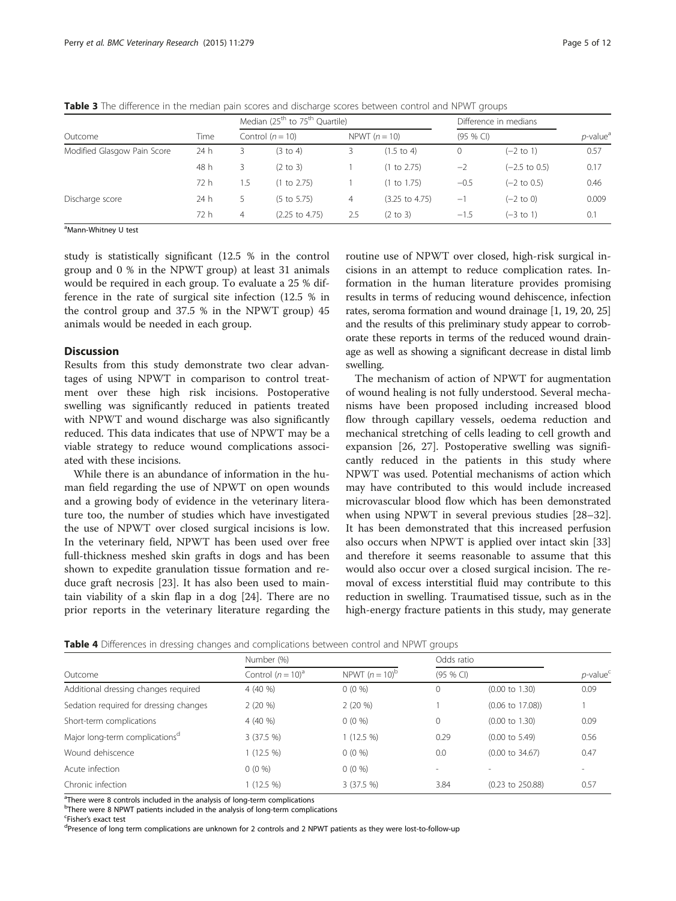|                             | Time | Median (25 <sup>th</sup> to 75 <sup>th</sup> Quartile) |                           |     |                           | Difference in medians |                          |                         |
|-----------------------------|------|--------------------------------------------------------|---------------------------|-----|---------------------------|-----------------------|--------------------------|-------------------------|
| Outcome                     |      |                                                        | Control $(n = 10)$        |     | NPWT $(n = 10)$           | $(95%$ CI)            |                          | $p$ -value <sup>a</sup> |
| Modified Glasgow Pain Score | 24h  | 3                                                      | (3 to 4)                  |     | $(1.5 \text{ to } 4)$     | 0                     | $(-2 \text{ to } 1)$     | 0.57                    |
|                             | 48 h | 3                                                      | $(2 \text{ to } 3)$       |     | (1 to 2.75)               | $-2$                  | $(-2.5 \text{ to } 0.5)$ | 0.17                    |
|                             | 72 h | 1.5                                                    | (1 to 2.75)               |     | (1 to 1.75)               | $-0.5$                | $(-2 \text{ to } 0.5)$   | 0.46                    |
| Discharge score             | 24 h | 5                                                      | $(5 \text{ to } 5.75)$    | 4   | $(3.25 \text{ to } 4.75)$ | -1                    | $(-2 \text{ to } 0)$     | 0.009                   |
|                             | 72 h | 4                                                      | $(2.25 \text{ to } 4.75)$ | 2.5 | $(2 \text{ to } 3)$       | $-1.5$                | $(-3 \text{ to } 1)$     | 0.1                     |

<span id="page-4-0"></span>Table 3 The difference in the median pain scores and discharge scores between control and NPWT groups

<sup>a</sup>Mann-Whitney U test

study is statistically significant (12.5 % in the control group and 0 % in the NPWT group) at least 31 animals would be required in each group. To evaluate a 25 % difference in the rate of surgical site infection (12.5 % in the control group and 37.5 % in the NPWT group) 45 animals would be needed in each group.

#### **Discussion**

Results from this study demonstrate two clear advantages of using NPWT in comparison to control treatment over these high risk incisions. Postoperative swelling was significantly reduced in patients treated with NPWT and wound discharge was also significantly reduced. This data indicates that use of NPWT may be a viable strategy to reduce wound complications associated with these incisions.

While there is an abundance of information in the human field regarding the use of NPWT on open wounds and a growing body of evidence in the veterinary literature too, the number of studies which have investigated the use of NPWT over closed surgical incisions is low. In the veterinary field, NPWT has been used over free full-thickness meshed skin grafts in dogs and has been shown to expedite granulation tissue formation and reduce graft necrosis [[23](#page-10-0)]. It has also been used to maintain viability of a skin flap in a dog [[24\]](#page-10-0). There are no prior reports in the veterinary literature regarding the

routine use of NPWT over closed, high-risk surgical incisions in an attempt to reduce complication rates. Information in the human literature provides promising results in terms of reducing wound dehiscence, infection rates, seroma formation and wound drainage [\[1, 19, 20](#page-10-0), [25](#page-10-0)] and the results of this preliminary study appear to corroborate these reports in terms of the reduced wound drainage as well as showing a significant decrease in distal limb swelling.

The mechanism of action of NPWT for augmentation of wound healing is not fully understood. Several mechanisms have been proposed including increased blood flow through capillary vessels, oedema reduction and mechanical stretching of cells leading to cell growth and expansion [\[26](#page-10-0), [27](#page-10-0)]. Postoperative swelling was significantly reduced in the patients in this study where NPWT was used. Potential mechanisms of action which may have contributed to this would include increased microvascular blood flow which has been demonstrated when using NPWT in several previous studies [[28](#page-10-0)–[32](#page-11-0)]. It has been demonstrated that this increased perfusion also occurs when NPWT is applied over intact skin [[33](#page-11-0)] and therefore it seems reasonable to assume that this would also occur over a closed surgical incision. The removal of excess interstitial fluid may contribute to this reduction in swelling. Traumatised tissue, such as in the high-energy fracture patients in this study, may generate

| Table 4 Differences in dressing changes and complications between control and NPWT groups |  |  |  |  |  |  |
|-------------------------------------------------------------------------------------------|--|--|--|--|--|--|
|-------------------------------------------------------------------------------------------|--|--|--|--|--|--|

|                                            | Number (%)           |                   |            | Odds ratio                  |                         |
|--------------------------------------------|----------------------|-------------------|------------|-----------------------------|-------------------------|
| Outcome                                    | Control $(n = 10)^a$ | NPWT $(n = 10)^b$ | $(95%$ CI) |                             | $p$ -value <sup>c</sup> |
| Additional dressing changes required       | 4(40%                | $0(0\%)$          | $\Omega$   | $(0.00 \text{ to } 1.30)$   | 0.09                    |
| Sedation required for dressing changes     | $2(20\%)$            | $2(20\%)$         |            | $(0.06 \text{ to } 17.08)$  |                         |
| Short-term complications                   | 4(40%                | $0(0\%)$          | $\Omega$   | $(0.00 \text{ to } 1.30)$   | 0.09                    |
| Major long-term complications <sup>d</sup> | 3(37.5 %)            | $1(12.5\%)$       | 0.29       | $(0.00 \text{ to } 5.49)$   | 0.56                    |
| Wound dehiscence                           | $1(12.5\%)$          | $0(0\%)$          | 0.0        | $(0.00 \text{ to } 34.67)$  | 0.47                    |
| Acute infection                            | $0(0\%)$             | $0(0\%)$          |            |                             |                         |
| Chronic infection                          | 1 (12.5 %)           | 3(37.5%)          | 3.84       | $(0.23 \text{ to } 250.88)$ | 0.57                    |

<sup>a</sup>There were 8 controls included in the analysis of long-term complications

<sup>b</sup>There were 8 NPWT patients included in the analysis of long-term complications

<sup>c</sup>Fisher's exact test<br><sup>d</sup>Presence of long

Presence of long term complications are unknown for 2 controls and 2 NPWT patients as they were lost-to-follow-up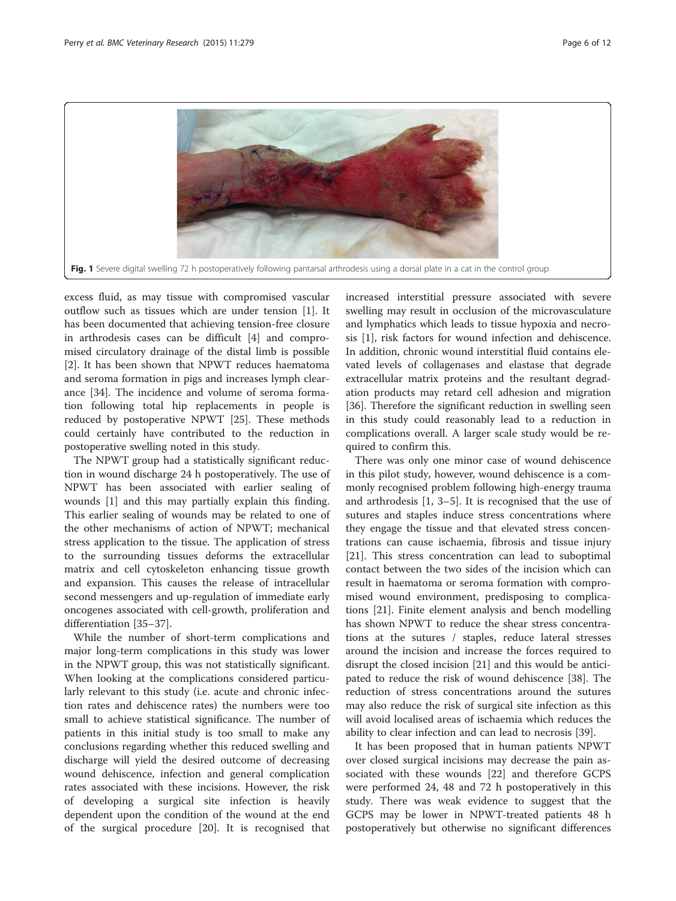<span id="page-5-0"></span>

excess fluid, as may tissue with compromised vascular outflow such as tissues which are under tension [[1\]](#page-10-0). It has been documented that achieving tension-free closure in arthrodesis cases can be difficult [\[4](#page-10-0)] and compromised circulatory drainage of the distal limb is possible [[2\]](#page-10-0). It has been shown that NPWT reduces haematoma and seroma formation in pigs and increases lymph clearance [\[34](#page-11-0)]. The incidence and volume of seroma formation following total hip replacements in people is reduced by postoperative NPWT [[25\]](#page-10-0). These methods could certainly have contributed to the reduction in postoperative swelling noted in this study.

The NPWT group had a statistically significant reduction in wound discharge 24 h postoperatively. The use of NPWT has been associated with earlier sealing of wounds [\[1\]](#page-10-0) and this may partially explain this finding. This earlier sealing of wounds may be related to one of the other mechanisms of action of NPWT; mechanical stress application to the tissue. The application of stress to the surrounding tissues deforms the extracellular matrix and cell cytoskeleton enhancing tissue growth and expansion. This causes the release of intracellular second messengers and up-regulation of immediate early oncogenes associated with cell-growth, proliferation and differentiation [[35](#page-11-0)–[37](#page-11-0)].

While the number of short-term complications and major long-term complications in this study was lower in the NPWT group, this was not statistically significant. When looking at the complications considered particularly relevant to this study (i.e. acute and chronic infection rates and dehiscence rates) the numbers were too small to achieve statistical significance. The number of patients in this initial study is too small to make any conclusions regarding whether this reduced swelling and discharge will yield the desired outcome of decreasing wound dehiscence, infection and general complication rates associated with these incisions. However, the risk of developing a surgical site infection is heavily dependent upon the condition of the wound at the end of the surgical procedure [\[20\]](#page-10-0). It is recognised that

increased interstitial pressure associated with severe swelling may result in occlusion of the microvasculature and lymphatics which leads to tissue hypoxia and necrosis [[1\]](#page-10-0), risk factors for wound infection and dehiscence. In addition, chronic wound interstitial fluid contains elevated levels of collagenases and elastase that degrade extracellular matrix proteins and the resultant degradation products may retard cell adhesion and migration [[36\]](#page-11-0). Therefore the significant reduction in swelling seen in this study could reasonably lead to a reduction in complications overall. A larger scale study would be required to confirm this.

There was only one minor case of wound dehiscence in this pilot study, however, wound dehiscence is a commonly recognised problem following high-energy trauma and arthrodesis [\[1](#page-10-0), [3](#page-10-0)–[5](#page-10-0)]. It is recognised that the use of sutures and staples induce stress concentrations where they engage the tissue and that elevated stress concentrations can cause ischaemia, fibrosis and tissue injury [[21\]](#page-10-0). This stress concentration can lead to suboptimal contact between the two sides of the incision which can result in haematoma or seroma formation with compromised wound environment, predisposing to complications [[21\]](#page-10-0). Finite element analysis and bench modelling has shown NPWT to reduce the shear stress concentrations at the sutures / staples, reduce lateral stresses around the incision and increase the forces required to disrupt the closed incision [[21](#page-10-0)] and this would be anticipated to reduce the risk of wound dehiscence [[38](#page-11-0)]. The reduction of stress concentrations around the sutures may also reduce the risk of surgical site infection as this will avoid localised areas of ischaemia which reduces the ability to clear infection and can lead to necrosis [\[39\]](#page-11-0).

It has been proposed that in human patients NPWT over closed surgical incisions may decrease the pain associated with these wounds [[22\]](#page-10-0) and therefore GCPS were performed 24, 48 and 72 h postoperatively in this study. There was weak evidence to suggest that the GCPS may be lower in NPWT-treated patients 48 h postoperatively but otherwise no significant differences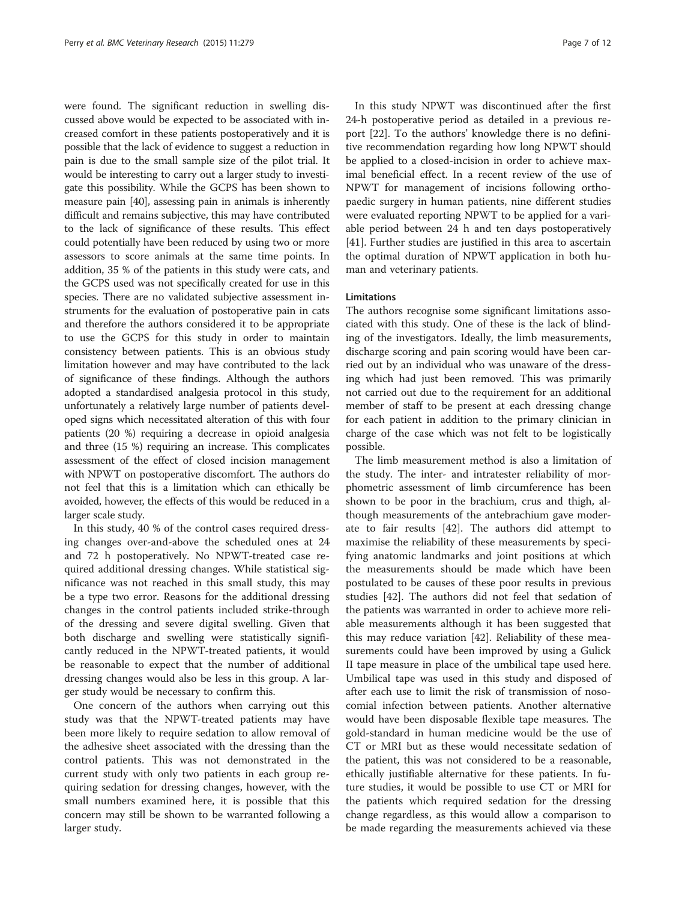were found. The significant reduction in swelling discussed above would be expected to be associated with increased comfort in these patients postoperatively and it is possible that the lack of evidence to suggest a reduction in pain is due to the small sample size of the pilot trial. It would be interesting to carry out a larger study to investigate this possibility. While the GCPS has been shown to measure pain [\[40\]](#page-11-0), assessing pain in animals is inherently difficult and remains subjective, this may have contributed to the lack of significance of these results. This effect could potentially have been reduced by using two or more assessors to score animals at the same time points. In addition, 35 % of the patients in this study were cats, and the GCPS used was not specifically created for use in this species. There are no validated subjective assessment instruments for the evaluation of postoperative pain in cats and therefore the authors considered it to be appropriate to use the GCPS for this study in order to maintain consistency between patients. This is an obvious study limitation however and may have contributed to the lack of significance of these findings. Although the authors adopted a standardised analgesia protocol in this study, unfortunately a relatively large number of patients developed signs which necessitated alteration of this with four patients (20 %) requiring a decrease in opioid analgesia and three (15 %) requiring an increase. This complicates assessment of the effect of closed incision management with NPWT on postoperative discomfort. The authors do not feel that this is a limitation which can ethically be avoided, however, the effects of this would be reduced in a larger scale study.

In this study, 40 % of the control cases required dressing changes over-and-above the scheduled ones at 24 and 72 h postoperatively. No NPWT-treated case required additional dressing changes. While statistical significance was not reached in this small study, this may be a type two error. Reasons for the additional dressing changes in the control patients included strike-through of the dressing and severe digital swelling. Given that both discharge and swelling were statistically significantly reduced in the NPWT-treated patients, it would be reasonable to expect that the number of additional dressing changes would also be less in this group. A larger study would be necessary to confirm this.

One concern of the authors when carrying out this study was that the NPWT-treated patients may have been more likely to require sedation to allow removal of the adhesive sheet associated with the dressing than the control patients. This was not demonstrated in the current study with only two patients in each group requiring sedation for dressing changes, however, with the small numbers examined here, it is possible that this concern may still be shown to be warranted following a larger study.

In this study NPWT was discontinued after the first 24-h postoperative period as detailed in a previous report [[22\]](#page-10-0). To the authors' knowledge there is no definitive recommendation regarding how long NPWT should be applied to a closed-incision in order to achieve maximal beneficial effect. In a recent review of the use of NPWT for management of incisions following orthopaedic surgery in human patients, nine different studies were evaluated reporting NPWT to be applied for a variable period between 24 h and ten days postoperatively [[41\]](#page-11-0). Further studies are justified in this area to ascertain the optimal duration of NPWT application in both human and veterinary patients.

# Limitations

The authors recognise some significant limitations associated with this study. One of these is the lack of blinding of the investigators. Ideally, the limb measurements, discharge scoring and pain scoring would have been carried out by an individual who was unaware of the dressing which had just been removed. This was primarily not carried out due to the requirement for an additional member of staff to be present at each dressing change for each patient in addition to the primary clinician in charge of the case which was not felt to be logistically possible.

The limb measurement method is also a limitation of the study. The inter- and intratester reliability of morphometric assessment of limb circumference has been shown to be poor in the brachium, crus and thigh, although measurements of the antebrachium gave moderate to fair results [[42\]](#page-11-0). The authors did attempt to maximise the reliability of these measurements by specifying anatomic landmarks and joint positions at which the measurements should be made which have been postulated to be causes of these poor results in previous studies [[42\]](#page-11-0). The authors did not feel that sedation of the patients was warranted in order to achieve more reliable measurements although it has been suggested that this may reduce variation [\[42](#page-11-0)]. Reliability of these measurements could have been improved by using a Gulick II tape measure in place of the umbilical tape used here. Umbilical tape was used in this study and disposed of after each use to limit the risk of transmission of nosocomial infection between patients. Another alternative would have been disposable flexible tape measures. The gold-standard in human medicine would be the use of CT or MRI but as these would necessitate sedation of the patient, this was not considered to be a reasonable, ethically justifiable alternative for these patients. In future studies, it would be possible to use CT or MRI for the patients which required sedation for the dressing change regardless, as this would allow a comparison to be made regarding the measurements achieved via these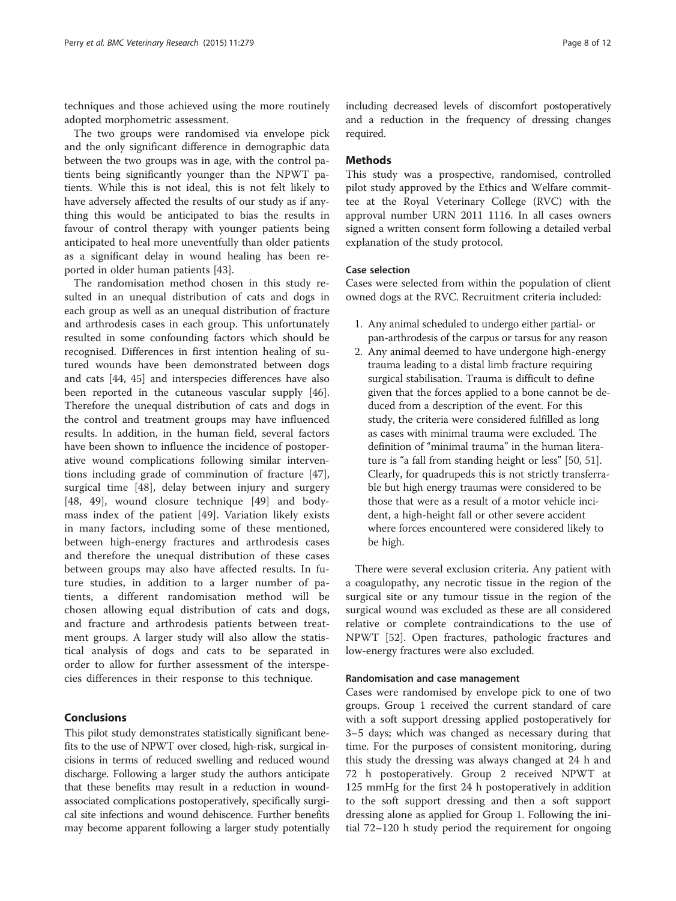techniques and those achieved using the more routinely adopted morphometric assessment.

The two groups were randomised via envelope pick and the only significant difference in demographic data between the two groups was in age, with the control patients being significantly younger than the NPWT patients. While this is not ideal, this is not felt likely to have adversely affected the results of our study as if anything this would be anticipated to bias the results in favour of control therapy with younger patients being anticipated to heal more uneventfully than older patients as a significant delay in wound healing has been reported in older human patients [\[43\]](#page-11-0).

The randomisation method chosen in this study resulted in an unequal distribution of cats and dogs in each group as well as an unequal distribution of fracture and arthrodesis cases in each group. This unfortunately resulted in some confounding factors which should be recognised. Differences in first intention healing of sutured wounds have been demonstrated between dogs and cats [\[44, 45](#page-11-0)] and interspecies differences have also been reported in the cutaneous vascular supply [\[46](#page-11-0)]. Therefore the unequal distribution of cats and dogs in the control and treatment groups may have influenced results. In addition, in the human field, several factors have been shown to influence the incidence of postoperative wound complications following similar interventions including grade of comminution of fracture [\[47](#page-11-0)], surgical time [[48\]](#page-11-0), delay between injury and surgery [[48, 49](#page-11-0)], wound closure technique [[49\]](#page-11-0) and bodymass index of the patient [[49\]](#page-11-0). Variation likely exists in many factors, including some of these mentioned, between high-energy fractures and arthrodesis cases and therefore the unequal distribution of these cases between groups may also have affected results. In future studies, in addition to a larger number of patients, a different randomisation method will be chosen allowing equal distribution of cats and dogs, and fracture and arthrodesis patients between treatment groups. A larger study will also allow the statistical analysis of dogs and cats to be separated in order to allow for further assessment of the interspecies differences in their response to this technique.

# Conclusions

This pilot study demonstrates statistically significant benefits to the use of NPWT over closed, high-risk, surgical incisions in terms of reduced swelling and reduced wound discharge. Following a larger study the authors anticipate that these benefits may result in a reduction in woundassociated complications postoperatively, specifically surgical site infections and wound dehiscence. Further benefits may become apparent following a larger study potentially including decreased levels of discomfort postoperatively and a reduction in the frequency of dressing changes required.

# Methods

This study was a prospective, randomised, controlled pilot study approved by the Ethics and Welfare committee at the Royal Veterinary College (RVC) with the approval number URN 2011 1116. In all cases owners signed a written consent form following a detailed verbal explanation of the study protocol.

#### Case selection

Cases were selected from within the population of client owned dogs at the RVC. Recruitment criteria included:

- 1. Any animal scheduled to undergo either partial- or pan-arthrodesis of the carpus or tarsus for any reason
- 2. Any animal deemed to have undergone high-energy trauma leading to a distal limb fracture requiring surgical stabilisation. Trauma is difficult to define given that the forces applied to a bone cannot be deduced from a description of the event. For this study, the criteria were considered fulfilled as long as cases with minimal trauma were excluded. The definition of "minimal trauma" in the human literature is "a fall from standing height or less" [[50,](#page-11-0) [51](#page-11-0)]. Clearly, for quadrupeds this is not strictly transferrable but high energy traumas were considered to be those that were as a result of a motor vehicle incident, a high-height fall or other severe accident where forces encountered were considered likely to be high.

There were several exclusion criteria. Any patient with a coagulopathy, any necrotic tissue in the region of the surgical site or any tumour tissue in the region of the surgical wound was excluded as these are all considered relative or complete contraindications to the use of NPWT [[52\]](#page-11-0). Open fractures, pathologic fractures and low-energy fractures were also excluded.

#### Randomisation and case management

Cases were randomised by envelope pick to one of two groups. Group 1 received the current standard of care with a soft support dressing applied postoperatively for 3–5 days; which was changed as necessary during that time. For the purposes of consistent monitoring, during this study the dressing was always changed at 24 h and 72 h postoperatively. Group 2 received NPWT at 125 mmHg for the first 24 h postoperatively in addition to the soft support dressing and then a soft support dressing alone as applied for Group 1. Following the initial 72–120 h study period the requirement for ongoing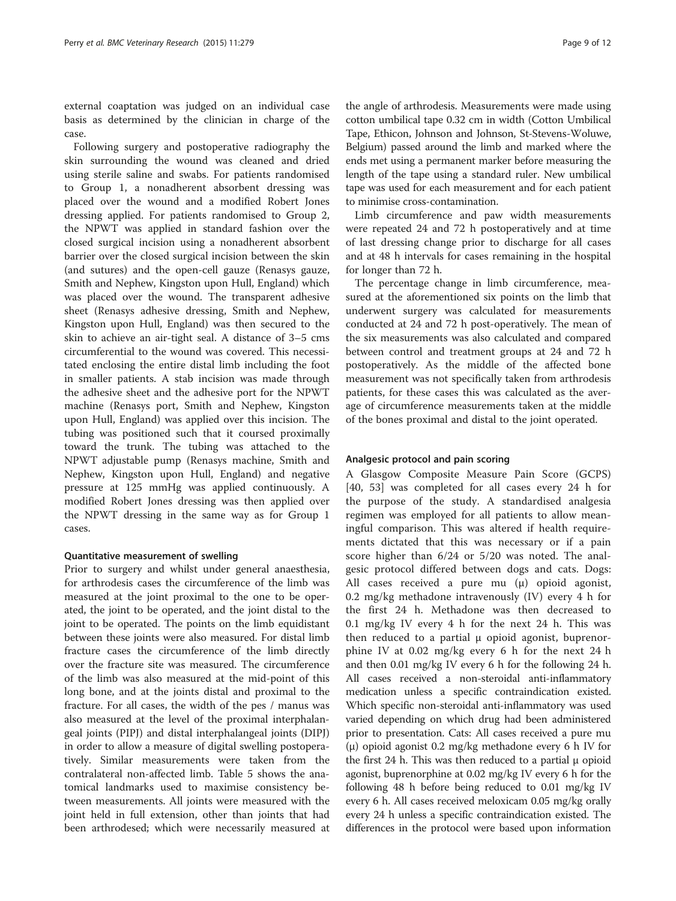external coaptation was judged on an individual case basis as determined by the clinician in charge of the case.

Following surgery and postoperative radiography the skin surrounding the wound was cleaned and dried using sterile saline and swabs. For patients randomised to Group 1, a nonadherent absorbent dressing was placed over the wound and a modified Robert Jones dressing applied. For patients randomised to Group 2, the NPWT was applied in standard fashion over the closed surgical incision using a nonadherent absorbent barrier over the closed surgical incision between the skin (and sutures) and the open-cell gauze (Renasys gauze, Smith and Nephew, Kingston upon Hull, England) which was placed over the wound. The transparent adhesive sheet (Renasys adhesive dressing, Smith and Nephew, Kingston upon Hull, England) was then secured to the skin to achieve an air-tight seal. A distance of 3–5 cms circumferential to the wound was covered. This necessitated enclosing the entire distal limb including the foot in smaller patients. A stab incision was made through the adhesive sheet and the adhesive port for the NPWT machine (Renasys port, Smith and Nephew, Kingston upon Hull, England) was applied over this incision. The tubing was positioned such that it coursed proximally toward the trunk. The tubing was attached to the NPWT adjustable pump (Renasys machine, Smith and Nephew, Kingston upon Hull, England) and negative pressure at 125 mmHg was applied continuously. A modified Robert Jones dressing was then applied over the NPWT dressing in the same way as for Group 1 cases.

# Quantitative measurement of swelling

Prior to surgery and whilst under general anaesthesia, for arthrodesis cases the circumference of the limb was measured at the joint proximal to the one to be operated, the joint to be operated, and the joint distal to the joint to be operated. The points on the limb equidistant between these joints were also measured. For distal limb fracture cases the circumference of the limb directly over the fracture site was measured. The circumference of the limb was also measured at the mid-point of this long bone, and at the joints distal and proximal to the fracture. For all cases, the width of the pes / manus was also measured at the level of the proximal interphalangeal joints (PIPJ) and distal interphalangeal joints (DIPJ) in order to allow a measure of digital swelling postoperatively. Similar measurements were taken from the contralateral non-affected limb. Table [5](#page-9-0) shows the anatomical landmarks used to maximise consistency between measurements. All joints were measured with the joint held in full extension, other than joints that had been arthrodesed; which were necessarily measured at the angle of arthrodesis. Measurements were made using cotton umbilical tape 0.32 cm in width (Cotton Umbilical Tape, Ethicon, Johnson and Johnson, St-Stevens-Woluwe, Belgium) passed around the limb and marked where the ends met using a permanent marker before measuring the length of the tape using a standard ruler. New umbilical tape was used for each measurement and for each patient to minimise cross-contamination.

Limb circumference and paw width measurements were repeated 24 and 72 h postoperatively and at time of last dressing change prior to discharge for all cases and at 48 h intervals for cases remaining in the hospital for longer than 72 h.

The percentage change in limb circumference, measured at the aforementioned six points on the limb that underwent surgery was calculated for measurements conducted at 24 and 72 h post-operatively. The mean of the six measurements was also calculated and compared between control and treatment groups at 24 and 72 h postoperatively. As the middle of the affected bone measurement was not specifically taken from arthrodesis patients, for these cases this was calculated as the average of circumference measurements taken at the middle of the bones proximal and distal to the joint operated.

# Analgesic protocol and pain scoring

A Glasgow Composite Measure Pain Score (GCPS) [[40, 53\]](#page-11-0) was completed for all cases every 24 h for the purpose of the study. A standardised analgesia regimen was employed for all patients to allow meaningful comparison. This was altered if health requirements dictated that this was necessary or if a pain score higher than 6/24 or 5/20 was noted. The analgesic protocol differed between dogs and cats. Dogs: All cases received a pure mu (μ) opioid agonist, 0.2 mg/kg methadone intravenously (IV) every 4 h for the first 24 h. Methadone was then decreased to 0.1 mg/kg IV every 4 h for the next 24 h. This was then reduced to a partial  $\mu$  opioid agonist, buprenorphine IV at 0.02 mg/kg every 6 h for the next 24 h and then 0.01 mg/kg IV every 6 h for the following 24 h. All cases received a non-steroidal anti-inflammatory medication unless a specific contraindication existed. Which specific non-steroidal anti-inflammatory was used varied depending on which drug had been administered prior to presentation. Cats: All cases received a pure mu (μ) opioid agonist 0.2 mg/kg methadone every 6 h IV for the first 24 h. This was then reduced to a partial  $μ$  opioid agonist, buprenorphine at 0.02 mg/kg IV every 6 h for the following 48 h before being reduced to 0.01 mg/kg IV every 6 h. All cases received meloxicam 0.05 mg/kg orally every 24 h unless a specific contraindication existed. The differences in the protocol were based upon information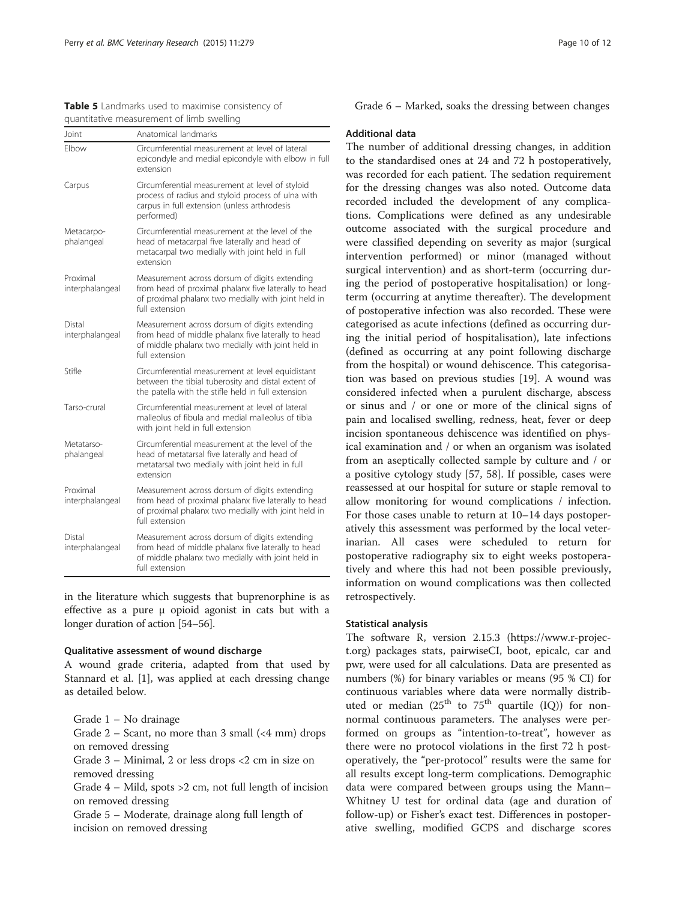<span id="page-9-0"></span>

| Table 5 Landmarks used to maximise consistency of |  |
|---------------------------------------------------|--|
| quantitative measurement of limb swelling         |  |

| Joint                       | Anatomical landmarks                                                                                                                                                           |
|-----------------------------|--------------------------------------------------------------------------------------------------------------------------------------------------------------------------------|
| Flbow                       | Circumferential measurement at level of lateral<br>epicondyle and medial epicondyle with elbow in full<br>extension                                                            |
| Carpus                      | Circumferential measurement at level of styloid<br>process of radius and styloid process of ulna with<br>carpus in full extension (unless arthrodesis<br>performed)            |
| Metacarpo-<br>phalangeal    | Circumferential measurement at the level of the<br>head of metacarpal five laterally and head of<br>metacarpal two medially with joint held in full<br>extension               |
| Proximal<br>interphalangeal | Measurement across dorsum of digits extending<br>from head of proximal phalanx five laterally to head<br>of proximal phalanx two medially with joint held in<br>full extension |
| Distal<br>interphalangeal   | Measurement across dorsum of digits extending<br>from head of middle phalanx five laterally to head<br>of middle phalanx two medially with joint held in<br>full extension     |
| Stifle                      | Circumferential measurement at level equidistant<br>between the tibial tuberosity and distal extent of<br>the patella with the stifle held in full extension                   |
| Tarso-crural                | Circumferential measurement at level of lateral<br>malleolus of fibula and medial malleolus of tibia<br>with joint held in full extension                                      |
| Metatarso-<br>phalangeal    | Circumferential measurement at the level of the<br>head of metatarsal five laterally and head of<br>metatarsal two medially with joint held in full<br>extension               |
| Proximal<br>interphalangeal | Measurement across dorsum of digits extending<br>from head of proximal phalanx five laterally to head<br>of proximal phalanx two medially with joint held in<br>full extension |
| Distal<br>interphalangeal   | Measurement across dorsum of digits extending<br>from head of middle phalanx five laterally to head<br>of middle phalanx two medially with joint held in<br>full extension     |

in the literature which suggests that buprenorphine is as effective as a pure μ opioid agonist in cats but with a longer duration of action [\[54](#page-11-0)–[56](#page-11-0)].

# Qualitative assessment of wound discharge

A wound grade criteria, adapted from that used by Stannard et al. [[1\]](#page-10-0), was applied at each dressing change as detailed below.

Grade 1 – No drainage

Grade  $2$  – Scant, no more than 3 small (<4 mm) drops on removed dressing

Grade 3 – Minimal, 2 or less drops <2 cm in size on removed dressing

Grade 4 – Mild, spots >2 cm, not full length of incision on removed dressing

Grade 5 – Moderate, drainage along full length of incision on removed dressing

Grade 6 – Marked, soaks the dressing between changes

# Additional data

The number of additional dressing changes, in addition to the standardised ones at 24 and 72 h postoperatively, was recorded for each patient. The sedation requirement for the dressing changes was also noted. Outcome data recorded included the development of any complications. Complications were defined as any undesirable outcome associated with the surgical procedure and were classified depending on severity as major (surgical intervention performed) or minor (managed without surgical intervention) and as short-term (occurring during the period of postoperative hospitalisation) or longterm (occurring at anytime thereafter). The development of postoperative infection was also recorded. These were categorised as acute infections (defined as occurring during the initial period of hospitalisation), late infections (defined as occurring at any point following discharge from the hospital) or wound dehiscence. This categorisation was based on previous studies [[19\]](#page-10-0). A wound was considered infected when a purulent discharge, abscess or sinus and / or one or more of the clinical signs of pain and localised swelling, redness, heat, fever or deep incision spontaneous dehiscence was identified on physical examination and / or when an organism was isolated from an aseptically collected sample by culture and / or a positive cytology study [\[57](#page-11-0), [58](#page-11-0)]. If possible, cases were reassessed at our hospital for suture or staple removal to allow monitoring for wound complications / infection. For those cases unable to return at 10–14 days postoperatively this assessment was performed by the local veterinarian. All cases were scheduled to return for postoperative radiography six to eight weeks postoperatively and where this had not been possible previously, information on wound complications was then collected retrospectively.

# Statistical analysis

The software R, version 2.15.3 ([https://www.r-projec](http://r-project.org/)[t.org\)](http://r-project.org/) packages stats, pairwiseCI, boot, epicalc, car and pwr, were used for all calculations. Data are presented as numbers (%) for binary variables or means (95 % CI) for continuous variables where data were normally distributed or median ( $25<sup>th</sup>$  to  $75<sup>th</sup>$  quartile (IQ)) for nonnormal continuous parameters. The analyses were performed on groups as "intention-to-treat", however as there were no protocol violations in the first 72 h postoperatively, the "per-protocol" results were the same for all results except long-term complications. Demographic data were compared between groups using the Mann– Whitney U test for ordinal data (age and duration of follow-up) or Fisher's exact test. Differences in postoperative swelling, modified GCPS and discharge scores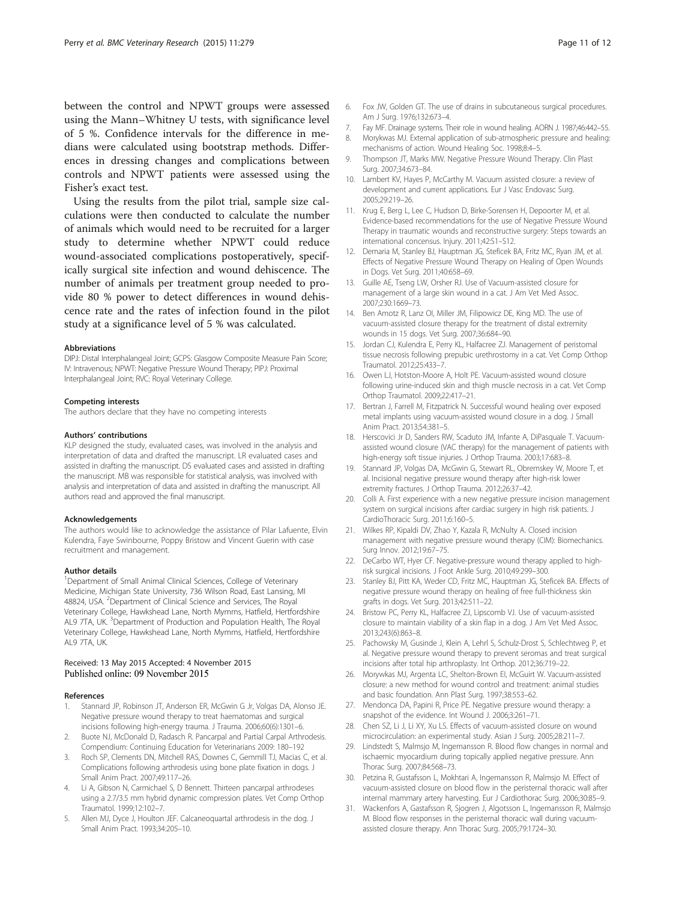<span id="page-10-0"></span>between the control and NPWT groups were assessed using the Mann–Whitney U tests, with significance level of 5 %. Confidence intervals for the difference in medians were calculated using bootstrap methods. Differences in dressing changes and complications between controls and NPWT patients were assessed using the Fisher's exact test.

Using the results from the pilot trial, sample size calculations were then conducted to calculate the number of animals which would need to be recruited for a larger study to determine whether NPWT could reduce wound-associated complications postoperatively, specifically surgical site infection and wound dehiscence. The number of animals per treatment group needed to provide 80 % power to detect differences in wound dehiscence rate and the rates of infection found in the pilot study at a significance level of 5 % was calculated.

#### Abbreviations

DIPJ: Distal Interphalangeal Joint; GCPS: Glasgow Composite Measure Pain Score; IV: Intravenous; NPWT: Negative Pressure Wound Therapy; PIPJ: Proximal Interphalangeal Joint; RVC: Royal Veterinary College.

#### Competing interests

The authors declare that they have no competing interests

#### Authors' contributions

KLP designed the study, evaluated cases, was involved in the analysis and interpretation of data and drafted the manuscript. LR evaluated cases and assisted in drafting the manuscript. DS evaluated cases and assisted in drafting the manuscript. MB was responsible for statistical analysis, was involved with analysis and interpretation of data and assisted in drafting the manuscript. All authors read and approved the final manuscript.

#### Acknowledgements

The authors would like to acknowledge the assistance of Pilar Lafuente, Elvin Kulendra, Faye Swinbourne, Poppy Bristow and Vincent Guerin with case recruitment and management.

#### Author details

<sup>1</sup>Department of Small Animal Clinical Sciences, College of Veterinary Medicine, Michigan State University, 736 Wilson Road, East Lansing, MI 48824, USA. <sup>2</sup>Department of Clinical Science and Services, The Royal Veterinary College, Hawkshead Lane, North Mymms, Hatfield, Hertfordshire AL9 7TA, UK.<sup>3</sup> Department of Production and Population Health, The Royal Veterinary College, Hawkshead Lane, North Mymms, Hatfield, Hertfordshire AL9 7TA, UK.

#### Received: 13 May 2015 Accepted: 4 November 2015 Published online: 09 November 2015

#### References

- Stannard JP, Robinson JT, Anderson ER, McGwin G Jr, Volgas DA, Alonso JE. Negative pressure wound therapy to treat haematomas and surgical incisions following high-energy trauma. J Trauma. 2006;60(6):1301–6.
- 2. Buote NJ, McDonald D, Radasch R. Pancarpal and Partial Carpal Arthrodesis. Compendium: Continuing Education for Veterinarians 2009: 180–192
- 3. Roch SP, Clements DN, Mitchell RAS, Downes C, Gemmill TJ, Macias C, et al. Complications following arthrodesis using bone plate fixation in dogs. J Small Anim Pract. 2007;49:117–26.
- 4. Li A, Gibson N, Carmichael S, D Bennett. Thirteen pancarpal arthrodeses using a 2.7/3.5 mm hybrid dynamic compression plates. Vet Comp Orthop Traumatol. 1999;12:102–7.
- 5. Allen MJ, Dyce J, Houlton JEF. Calcaneoquartal arthrodesis in the dog. J Small Anim Pract. 1993;34:205–10.
- 6. Fox JW, Golden GT. The use of drains in subcutaneous surgical procedures. Am J Surg. 1976;132:673–4.
- 7. Fay MF. Drainage systems. Their role in wound healing. AORN J. 1987;46:442–55.
- 8. Morykwas MJ. External application of sub-atmospheric pressure and healing: mechanisms of action. Wound Healing Soc. 1998;8:4–5.
- 9. Thompson JT, Marks MW. Negative Pressure Wound Therapy. Clin Plast Surg. 2007;34:673–84.
- 10. Lambert KV, Hayes P, McCarthy M. Vacuum assisted closure: a review of development and current applications. Eur J Vasc Endovasc Surg. 2005;29:219–26.
- 11. Krug E, Berg L, Lee C, Hudson D, Birke-Sorensen H, Depoorter M, et al. Evidence-based recommendations for the use of Negative Pressure Wound Therapy in traumatic wounds and reconstructive surgery: Steps towards an international concensus. Injury. 2011;42:S1–S12.
- 12. Demaria M, Stanley BJ, Hauptman JG, Steficek BA, Fritz MC, Ryan JM, et al. Effects of Negative Pressure Wound Therapy on Healing of Open Wounds in Dogs. Vet Surg. 2011;40:658–69.
- 13. Guille AE, Tseng LW, Orsher RJ. Use of Vacuum-assisted closure for management of a large skin wound in a cat. J Am Vet Med Assoc. 2007;230:1669–73.
- 14. Ben Amotz R, Lanz OI, Miller JM, Filipowicz DE, King MD. The use of vacuum-assisted closure therapy for the treatment of distal extremity wounds in 15 dogs. Vet Surg. 2007;36:684–90.
- 15. Jordan CJ, Kulendra E, Perry KL, Halfacree ZJ. Management of peristomal tissue necrosis following prepubic urethrostomy in a cat. Vet Comp Orthop Traumatol. 2012;25:433–7.
- 16. Owen LJ, Hotston-Moore A, Holt PE. Vacuum-assisted wound closure following urine-induced skin and thigh muscle necrosis in a cat. Vet Comp Orthop Traumatol. 2009;22:417–21.
- 17. Bertran J, Farrell M, Fitzpatrick N. Successful wound healing over exposed metal implants using vacuum-assisted wound closure in a dog. J Small Anim Pract. 2013;54:381–5.
- 18. Herscovici Jr D, Sanders RW, Scaduto JM, Infante A, DiPasquale T. Vacuumassisted wound closure (VAC therapy) for the management of patients with high-energy soft tissue injuries. J Orthop Trauma. 2003;17:683–8.
- 19. Stannard JP, Volgas DA, McGwin G, Stewart RL, Obremskey W, Moore T, et al. Incisional negative pressure wound therapy after high-risk lower extremity fractures. J Orthop Trauma. 2012;26:37–42.
- 20. Colli A. First experience with a new negative pressure incision management system on surgical incisions after cardiac surgery in high risk patients. J CardioThoracic Surg. 2011;6:160–5.
- 21. Wilkes RP, Kipaldi DV, Zhao Y, Kazala R, McNulty A. Closed incision management with negative pressure wound therapy (CIM): Biomechanics. Surg Innov. 2012;19:67–75.
- 22. DeCarbo WT, Hyer CF. Negative-pressure wound therapy applied to highrisk surgical incisions. J Foot Ankle Surg. 2010;49:299–300.
- 23. Stanley BJ, Pitt KA, Weder CD, Fritz MC, Hauptman JG, Steficek BA. Effects of negative pressure wound therapy on healing of free full-thickness skin grafts in dogs. Vet Surg. 2013;42:511–22.
- 24. Bristow PC, Perry KL, Halfacree ZJ, Lipscomb VJ. Use of vacuum-assisted closure to maintain viability of a skin flap in a dog. J Am Vet Med Assoc. 2013;243(6):863–8.
- 25. Pachowsky M, Gusinde J, Klein A, Lehrl S, Schulz-Drost S, Schlechtweg P, et al. Negative pressure wound therapy to prevent seromas and treat surgical incisions after total hip arthroplasty. Int Orthop. 2012;36:719–22.
- 26. Morywkas MJ, Argenta LC, Shelton-Brown EI, McGuirt W. Vacuum-assisted closure: a new method for wound control and treatment: animal studies and basic foundation. Ann Plast Surg. 1997;38:553–62.
- 27. Mendonca DA, Papini R, Price PE. Negative pressure wound therapy: a snapshot of the evidence. Int Wound J. 2006;3:261–71.
- 28. Chen SZ, Li J, Li XY, Xu LS. Effects of vacuum-assisted closure on wound microcirculation: an experimental study. Asian J Surg. 2005;28:211–7.
- 29. Lindstedt S, Malmsjo M, Ingemansson R. Blood flow changes in normal and ischaemic myocardium during topically applied negative pressure. Ann Thorac Surg. 2007;84:568–73.
- 30. Petzina R, Gustafsson L, Mokhtari A, Ingemansson R, Malmsjo M. Effect of vacuum-assisted closure on blood flow in the peristernal thoracic wall after internal mammary artery harvesting. Eur J Cardiothorac Surg. 2006;30:85–9.
- 31. Wackenfors A, Gastafsson R, Sjogren J, Algotsson L, Ingemansson R, Malmsjo M. Blood flow responses in the peristernal thoracic wall during vacuumassisted closure therapy. Ann Thorac Surg. 2005;79:1724–30.